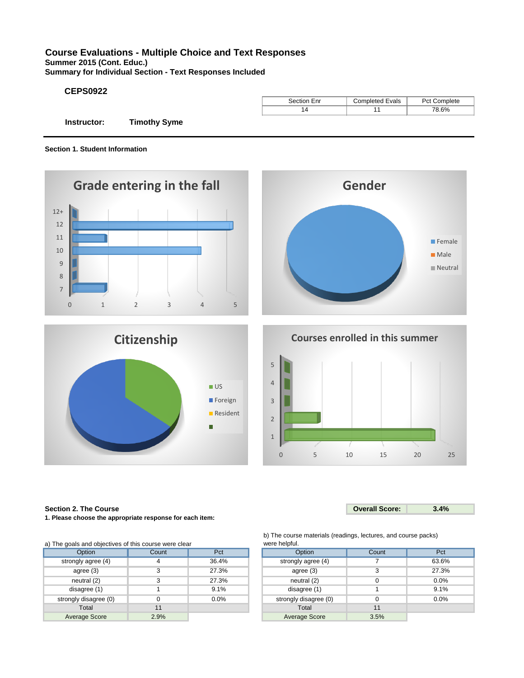# **Course Evaluations - Multiple Choice and Text Responses**

**Summer 2015 (Cont. Educ.)**

**Summary for Individual Section - Text Responses Included**

# **CEPS0922**

|             |                     | Section Enr | Completed Evals | Pct Complete |
|-------------|---------------------|-------------|-----------------|--------------|
|             |                     | 14          |                 | 78.6%        |
| Instructor: | <b>Timothy Syme</b> |             |                 |              |

**Section 1. Student Information**









# **Section 2. The Course**

**1. Please choose the appropriate response for each item:**

b) The course materials (readings, lectures, and course packs) were helpful.

| a) The goals and objectives of this course were clear |       |       | were helpful.         |       |       |  |
|-------------------------------------------------------|-------|-------|-----------------------|-------|-------|--|
| Option                                                | Count | Pct   | Option                | Count | Pct   |  |
| strongly agree (4)                                    | 4     | 36.4% | strongly agree (4)    |       | 63.6% |  |
| agree $(3)$                                           |       | 27.3% | agree (3)             | 3     | 27.3% |  |
| neutral <sub>(2)</sub>                                | 3     | 27.3% | neutral (2)           |       | 0.0%  |  |
| disagree (1)                                          |       | 9.1%  | disagree (1)          |       | 9.1%  |  |
| strongly disagree (0)                                 |       | 0.0%  | strongly disagree (0) |       | 0.0%  |  |
| Total                                                 | 11    |       | Total                 | 11    |       |  |
| Average Score                                         | 2.9%  |       | <b>Average Score</b>  | 3.5%  |       |  |

| als and objectives of this course were clear |       |         | <u>WEIE HEIDIUL</u>   |       |       |  |  |
|----------------------------------------------|-------|---------|-----------------------|-------|-------|--|--|
| Option                                       | Count | Pct     | Option                | Count | Pct   |  |  |
| ngly agree (4)                               |       | 36.4%   | strongly agree (4)    |       | 63.6% |  |  |
| agree (3)                                    |       | 27.3%   | agree $(3)$           |       | 27.3% |  |  |
| neutral (2)                                  |       | 27.3%   | neutral (2)           |       | 0.0%  |  |  |
| lisagree (1)                                 |       | 9.1%    | disagree (1)          |       | 9.1%  |  |  |
| gly disagree (0)                             |       | $0.0\%$ | strongly disagree (0) |       | 0.0%  |  |  |
| Total                                        | 11    |         | Total                 | 11    |       |  |  |
| erage Score                                  | 2.9%  |         | <b>Average Score</b>  | 3.5%  |       |  |  |

**Overall Score: 3.4%**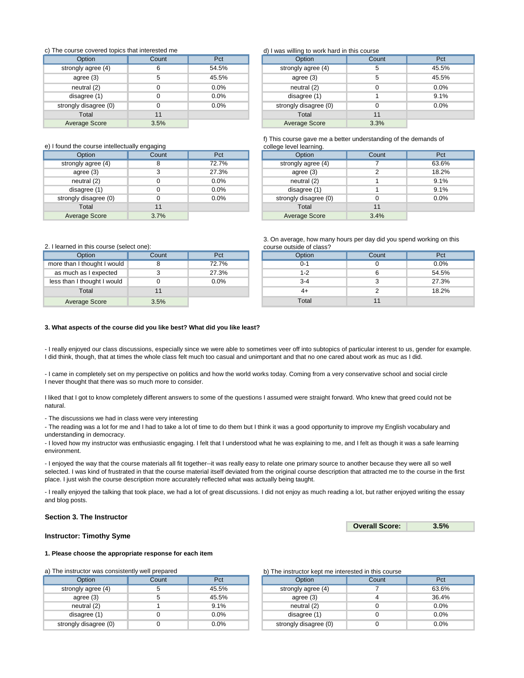## c) The course covered topics that interested me

| Option                | Count | Pct   | Option                | Count | Pct   |
|-----------------------|-------|-------|-----------------------|-------|-------|
| strongly agree (4)    |       | 54.5% | strongly agree (4)    | 5     | 45.5% |
| agree (3)             |       | 45.5% | agree $(3)$           | 5     | 45.5% |
| neutral (2)           |       | 0.0%  | neutral (2)           |       | 0.0%  |
| disagree (1)          |       | 0.0%  | disagree (1)          |       | 9.1%  |
| strongly disagree (0) |       | 0.0%  | strongly disagree (0) |       | 0.0%  |
| Total                 | 11    |       | Total                 | 11    |       |
| Average Score         | 3.5%  |       | Average Score         | 3.3%  |       |

# e) I found the course intellectually engaging example and college level learning.

| Option                | Count | Pct   | Option                | Count | Pct   |
|-----------------------|-------|-------|-----------------------|-------|-------|
| strongly agree (4)    |       | 72.7% | strongly agree (4)    |       | 63.6% |
| agree $(3)$           |       | 27.3% | agree $(3)$           |       | 18.2% |
| neutral $(2)$         |       | 0.0%  | neutral (2)           |       | 9.1%  |
| disagree (1)          |       | 0.0%  | disagree (1)          |       | 9.1%  |
| strongly disagree (0) |       | 0.0%  | strongly disagree (0) |       | 0.0%  |
| Total                 | 11    |       | Total                 | 11    |       |
| Average Score         | 3.7%  |       | Average Score         | 3.4%  |       |

# d) I was willing to work hard in this course

|                      |       |       | $\sim$                |       |       |
|----------------------|-------|-------|-----------------------|-------|-------|
| Option               | Count | Pct   | <b>Option</b>         | Count | Pct   |
| strongly agree (4)   |       | 54.5% | strongly agree (4)    |       | 45.5% |
| agree $(3)$          |       | 45.5% | agree $(3)$           |       | 45.5% |
| neutral (2)          |       | 0.0%  | neutral (2)           |       | 0.0%  |
| disagree (1)         |       | 0.0%  | disagree (1)          |       | 9.1%  |
| trongly disagree (0) |       | 0.0%  | strongly disagree (0) |       | 0.0%  |
| Total                | 11    |       | Total                 |       |       |
| Average Score        | 3.5%  |       | Average Score         | 3.3%  |       |

# f) This course gave me a better understanding of the demands of

| Option            | Count | Pct   | <b>Option</b>         | Count | Pct   |
|-------------------|-------|-------|-----------------------|-------|-------|
| ongly agree (4)   | 8     | 72.7% | strongly agree (4)    |       | 63.6% |
| agree $(3)$       |       | 27.3% | agree (3)             |       | 18.2% |
| neutral $(2)$     |       | 0.0%  | neutral (2)           |       | 9.1%  |
| disagree (1)      |       | 0.0%  | disagree (1)          |       | 9.1%  |
| ngly disagree (0) |       | 0.0%  | strongly disagree (0) |       | 0.0%  |
| Total             | 11    |       | Total                 |       |       |
| verage Score      | 3.7%  |       | Average Score         | 3.4%  |       |
|                   |       |       |                       |       |       |

3. On average, how many hours per day did you spend working on this

| Option            | Count | Pct   | Option  | Count | Pct     |
|-------------------|-------|-------|---------|-------|---------|
| I thought I would |       | 72.7% | $0 - 1$ |       | $0.0\%$ |
| າ as I expected   |       | 27.3% | 1-2     |       | 54.5%   |
| I thought I would |       | 0.0%  | $3 - 4$ |       | 27.3%   |
| Total             |       |       | 4+      |       | 18.2%   |
| rage Score        | 3.5%  |       | Total   |       |         |

## 2. I learned in this course (select one): course outside of class?

| Option                      | Count | Pct   | Option | Count | Pct   |
|-----------------------------|-------|-------|--------|-------|-------|
| more than I thought I would |       | 72.7% | 0-1    |       | 0.0%  |
| as much as I expected       |       | 27.3% | l -2   |       | 54.5% |
| less than I thought I would |       | 0.0%  | $3-4$  |       | 27.3% |
| Total                       |       |       | 4+     |       | 18.2% |
| Average Score               | 3.5%  |       | Total  |       |       |

#### **3. What aspects of the course did you like best? What did you like least?**

- I really enjoyed our class discussions, especially since we were able to sometimes veer off into subtopics of particular interest to us, gender for example. I did think, though, that at times the whole class felt much too casual and unimportant and that no one cared about work as muc as I did.

- I came in completely set on my perspective on politics and how the world works today. Coming from a very conservative school and social circle I never thought that there was so much more to consider.

I liked that I got to know completely different answers to some of the questions I assumed were straight forward. Who knew that greed could not be natural.

- The discussions we had in class were very interesting

- The reading was a lot for me and I had to take a lot of time to do them but I think it was a good opportunity to improve my English vocabulary and understanding in democracy.

- I loved how my instructor was enthusiastic engaging. I felt that I understood what he was explaining to me, and I felt as though it was a safe learning environment.

- I enjoyed the way that the course materials all fit together--it was really easy to relate one primary source to another because they were all so well selected. I was kind of frustrated in that the course material itself deviated from the original course description that attracted me to the course in the first place. I just wish the course description more accurately reflected what was actually being taught.

- I really enjoyed the talking that took place, we had a lot of great discussions. I did not enjoy as much reading a lot, but rather enjoyed writing the essay and blog posts.

## **Section 3. The Instructor**

**Overall Score: 3.5%**

## **Instructor: Timothy Syme**

## **1. Please choose the appropriate response for each item**

a) The instructor was consistently well prepared

| Option                | Count | Pct     | Option                | Count | Pct   |
|-----------------------|-------|---------|-----------------------|-------|-------|
| strongly agree (4)    |       | 45.5%   | strongly agree (4)    |       | 63.6% |
| agree $(3)$           |       | 45.5%   | agree (3)             |       | 36.4% |
| neutral (2)           |       | 9.1%    | neutral (2)           |       | 0.0%  |
| disagree (1)          |       | $0.0\%$ | disagree (1)          |       | 0.0%  |
| strongly disagree (0) |       | $0.0\%$ | strongly disagree (0) |       | 0.0%  |

## b) The instructor kept me interested in this course

| Option            | Count | Pct     | Option                | Count | Pct     |
|-------------------|-------|---------|-----------------------|-------|---------|
| ongly agree (4)   |       | 45.5%   | strongly agree (4)    |       | 63.6%   |
| agree $(3)$       |       | 45.5%   | agree $(3)$           |       | 36.4%   |
| neutral $(2)$     |       | 9.1%    | neutral (2)           |       | 0.0%    |
| disagree (1)      |       | 0.0%    | disagree (1)          |       | 0.0%    |
| ngly disagree (0) |       | $0.0\%$ | strongly disagree (0) |       | $0.0\%$ |